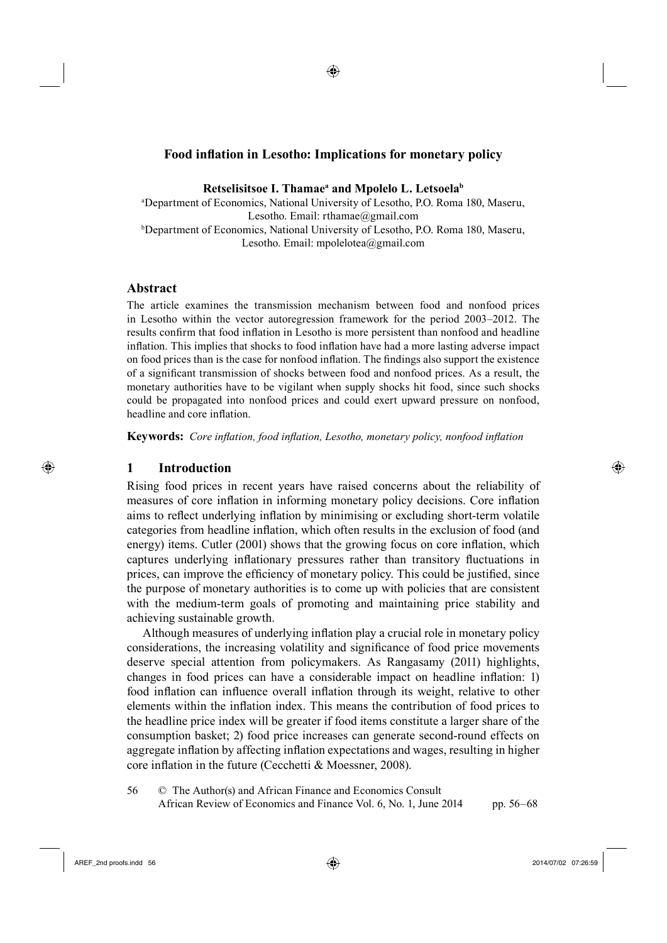◈

Retselisitsoe I. Thamae<sup>a</sup> and Mpolelo L. Letsoela<sup>b</sup>

a Department of Economics, National University of Lesotho, P.O. Roma 180, Maseru, Lesotho. Email: rthamae@gmail.com b Department of Economics, National University of Lesotho, P.O. Roma 180, Maseru, Lesotho. Email: mpolelotea@gmail.com

## **Abstract**

The article examines the transmission mechanism between food and nonfood prices in Lesotho within the vector autoregression framework for the period 2003–2012. The results confirm that food inflation in Lesotho is more persistent than nonfood and headline inflation. This implies that shocks to food inflation have had a more lasting adverse impact on food prices than is the case for nonfood inflation. The findings also support the existence of a significant transmission of shocks between food and nonfood prices. As a result, the monetary authorities have to be vigilant when supply shocks hit food, since such shocks could be propagated into nonfood prices and could exert upward pressure on nonfood, headline and core inflation.

**Keywords:** *Core inflation, food inflation, Lesotho, monetary policy, nonfood inflation* 

#### **1 Introduction**

⊕

Rising food prices in recent years have raised concerns about the reliability of measures of core inflation in informing monetary policy decisions. Core inflation aims to reflect underlying inflation by minimising or excluding short-term volatile categories from headline inflation, which often results in the exclusion of food (and energy) items. Cutler (2001) shows that the growing focus on core inflation, which captures underlying inflationary pressures rather than transitory fluctuations in prices, can improve the efficiency of monetary policy. This could be justified, since the purpose of monetary authorities is to come up with policies that are consistent with the medium-term goals of promoting and maintaining price stability and achieving sustainable growth.

Although measures of underlying inflation play a crucial role in monetary policy considerations, the increasing volatility and significance of food price movements deserve special attention from policymakers. As Rangasamy (2011) highlights, changes in food prices can have a considerable impact on headline inflation: 1) food inflation can influence overall inflation through its weight, relative to other elements within the inflation index. This means the contribution of food prices to the headline price index will be greater if food items constitute a larger share of the consumption basket; 2) food price increases can generate second-round effects on aggregate inflation by affecting inflation expectations and wages, resulting in higher core inflation in the future (Cecchetti & Moessner, 2008).

256 © The Author(s) and African Finance and Economics Consult African Review of Economics and Finance Vol. 6, No. 1, June 2014 pp. 56–68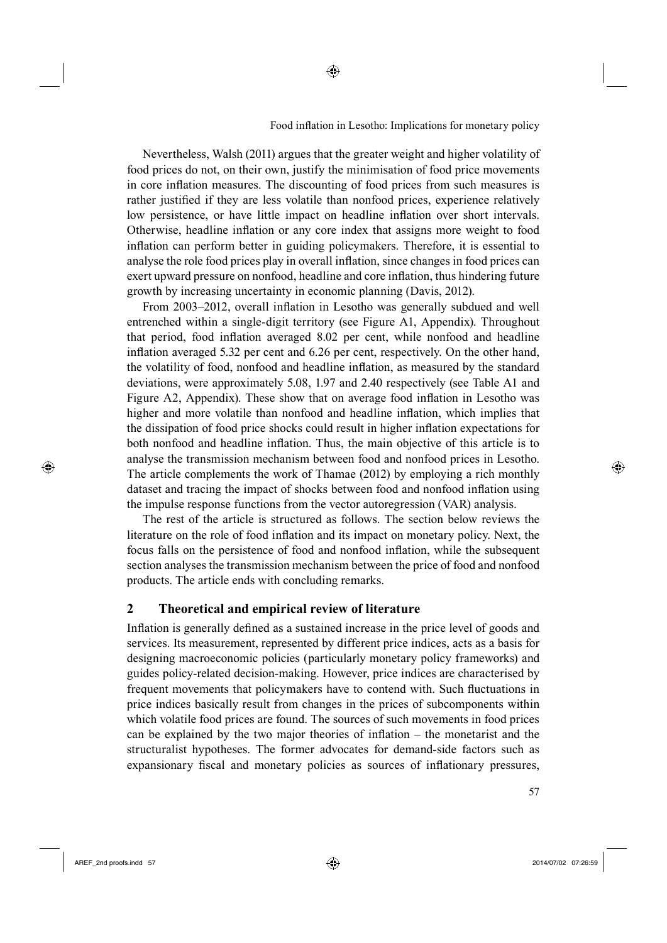Nevertheless, Walsh (2011) argues that the greater weight and higher volatility of food prices do not, on their own, justify the minimisation of food price movements in core inflation measures. The discounting of food prices from such measures is rather justified if they are less volatile than nonfood prices, experience relatively low persistence, or have little impact on headline inflation over short intervals. Otherwise, headline inflation or any core index that assigns more weight to food inflation can perform better in guiding policymakers. Therefore, it is essential to analyse the role food prices play in overall inflation, since changes in food prices can exert upward pressure on nonfood, headline and core inflation, thus hindering future growth by increasing uncertainty in economic planning (Davis, 2012).

◈

From 2003–2012, overall inflation in Lesotho was generally subdued and well entrenched within a single-digit territory (see Figure A1, Appendix). Throughout that period, food inflation averaged 8.02 per cent, while nonfood and headline inflation averaged 5.32 per cent and 6.26 per cent, respectively. On the other hand, the volatility of food, nonfood and headline inflation, as measured by the standard deviations, were approximately 5.08, 1.97 and 2.40 respectively (see Table A1 and Figure A2, Appendix). These show that on average food inflation in Lesotho was higher and more volatile than nonfood and headline inflation, which implies that the dissipation of food price shocks could result in higher inflation expectations for both nonfood and headline inflation. Thus, the main objective of this article is to analyse the transmission mechanism between food and nonfood prices in Lesotho. The article complements the work of Thamae (2012) by employing a rich monthly dataset and tracing the impact of shocks between food and nonfood inflation using the impulse response functions from the vector autoregression (VAR) analysis.

The rest of the article is structured as follows. The section below reviews the literature on the role of food inflation and its impact on monetary policy. Next, the focus falls on the persistence of food and nonfood inflation, while the subsequent section analyses the transmission mechanism between the price of food and nonfood products. The article ends with concluding remarks.

## **2 Theoretical and empirical review of literature**

Inflation is generally defined as a sustained increase in the price level of goods and services. Its measurement, represented by different price indices, acts as a basis for designing macroeconomic policies (particularly monetary policy frameworks) and guides policy-related decision-making. However, price indices are characterised by frequent movements that policymakers have to contend with. Such fluctuations in price indices basically result from changes in the prices of subcomponents within which volatile food prices are found. The sources of such movements in food prices can be explained by the two major theories of inflation  $-$  the monetarist and the structuralist hypotheses. The former advocates for demand-side factors such as expansionary fiscal and monetary policies as sources of inflationary pressures,

⊕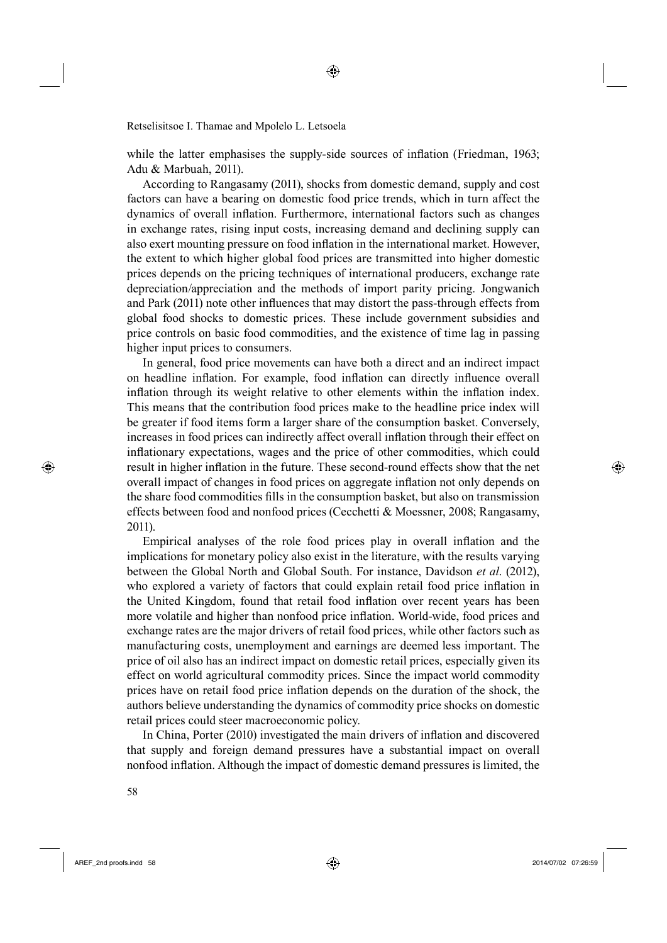while the latter emphasises the supply-side sources of inflation (Friedman, 1963; Adu & Marbuah, 2011).

62According to Rangasamy (2011), shocks from domestic demand, supply and cost factors can have a bearing on domestic food price trends, which in turn affect the dynamics of overall inflation. Furthermore, international factors such as changes in exchange rates, rising input costs, increasing demand and declining supply can also exert mounting pressure on food inflation in the international market. However, the extent to which higher global food prices are transmitted into higher domestic prices depends on the pricing techniques of international producers, exchange rate depreciation/appreciation and the methods of import parity pricing. Jongwanich and Park (2011) note other influences that may distort the pass-through effects from global food shocks to domestic prices. These include government subsidies and price controls on basic food commodities, and the existence of time lag in passing higher input prices to consumers.

In general, food price movements can have both a direct and an indirect impact on headline inflation. For example, food inflation can directly influence overall inflation through its weight relative to other elements within the inflation index. This means that the contribution food prices make to the headline price index will be greater if food items form a larger share of the consumption basket. Conversely, increases in food prices can indirectly affect overall inflation through their effect on inflationary expectations, wages and the price of other commodities, which could result in higher inflation in the future. These second-round effects show that the net overall impact of changes in food prices on aggregate inflation not only depends on the share food commodities fills in the consumption basket, but also on transmission effects between food and nonfood prices (Cecchetti & Moessner, 2008; Rangasamy, 2011).

Empirical analyses of the role food prices play in overall inflation and the implications for monetary policy also exist in the literature, with the results varying between the Global North and Global South. For instance, Davidson *et al*. (2012), who explored a variety of factors that could explain retail food price inflation in the United Kingdom, found that retail food inflation over recent years has been more volatile and higher than nonfood price inflation. World-wide, food prices and exchange rates are the major drivers of retail food prices, while other factors such as manufacturing costs, unemployment and earnings are deemed less important. The price of oil also has an indirect impact on domestic retail prices, especially given its effect on world agricultural commodity prices. Since the impact world commodity prices have on retail food price inflation depends on the duration of the shock, the authors believe understanding the dynamics of commodity price shocks on domestic retail prices could steer macroeconomic policy.

In China, Porter (2010) investigated the main drivers of inflation and discovered that supply and foreign demand pressures have a substantial impact on overall nonfood inflation. Although the impact of domestic demand pressures is limited, the

⊕

AREF\_2nd proofs.indd 58 2014/07/02 07:26:59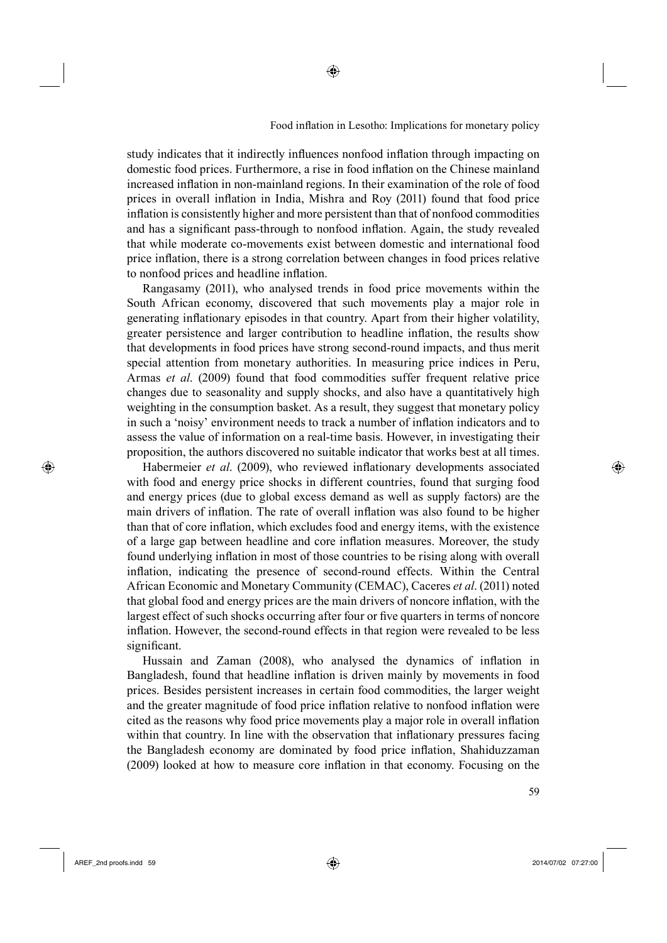study indicates that it indirectly influences nonfood inflation through impacting on domestic food prices. Furthermore, a rise in food inflation on the Chinese mainland increased inflation in non-mainland regions. In their examination of the role of food prices in overall inflation in India, Mishra and Roy (2011) found that food price inflation is consistently higher and more persistent than that of nonfood commodities and has a significant pass-through to nonfood inflation. Again, the study revealed that while moderate co-movements exist between domestic and international food price inflation, there is a strong correlation between changes in food prices relative to nonfood prices and headline inflation.

Rangasamy (2011), who analysed trends in food price movements within the South African economy, discovered that such movements play a major role in generating inflationary episodes in that country. Apart from their higher volatility, greater persistence and larger contribution to headline inflation, the results show that developments in food prices have strong second-round impacts, and thus merit special attention from monetary authorities. In measuring price indices in Peru, Armas *et al*. (2009) found that food commodities suffer frequent relative price changes due to seasonality and supply shocks, and also have a quantitatively high weighting in the consumption basket. As a result, they suggest that monetary policy in such a 'noisy' environment needs to track a number of inflation indicators and to assess the value of information on a real-time basis. However, in investigating their proposition, the authors discovered no suitable indicator that works best at all times.

Habermeier *et al.* (2009), who reviewed inflationary developments associated with food and energy price shocks in different countries, found that surging food and energy prices (due to global excess demand as well as supply factors) are the main drivers of inflation. The rate of overall inflation was also found to be higher than that of core inflation, which excludes food and energy items, with the existence of a large gap between headline and core inflation measures. Moreover, the study found underlying inflation in most of those countries to be rising along with overall inflation, indicating the presence of second-round effects. Within the Central African Economic and Monetary Community (CEMAC), Caceres *et al*. (2011) noted that global food and energy prices are the main drivers of noncore inflation, with the largest effect of such shocks occurring after four or five quarters in terms of noncore inflation. However, the second-round effects in that region were revealed to be less significant.

Hussain and Zaman (2008), who analysed the dynamics of inflation in Bangladesh, found that headline inflation is driven mainly by movements in food prices. Besides persistent increases in certain food commodities, the larger weight and the greater magnitude of food price inflation relative to nonfood inflation were cited as the reasons why food price movements play a major role in overall inflation within that country. In line with the observation that inflationary pressures facing the Bangladesh economy are dominated by food price inflation, Shahiduzzaman (2009) looked at how to measure core inflation in that economy. Focusing on the

 $\sim$  59

⊕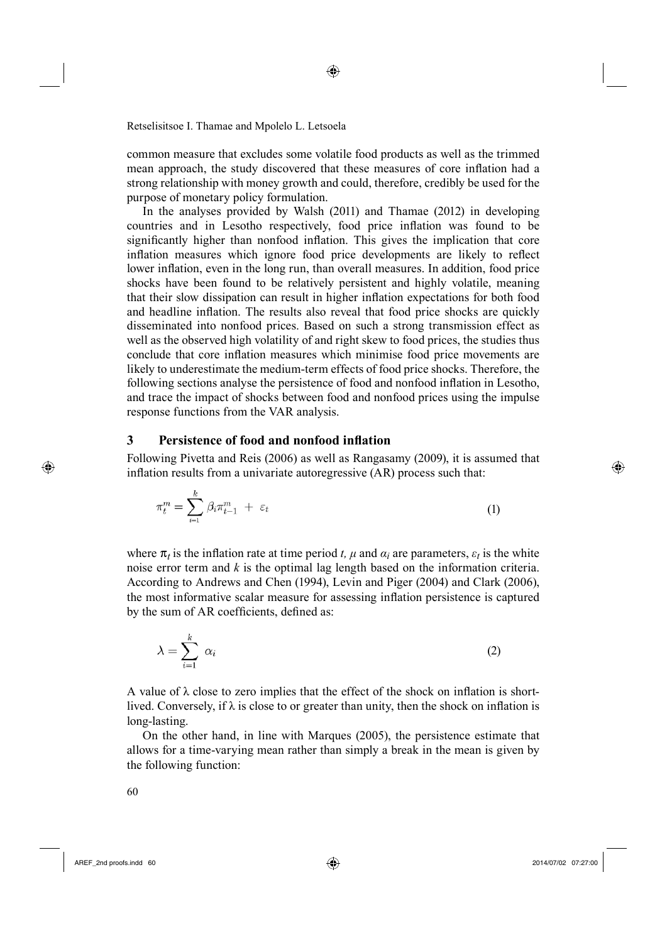common measure that excludes some volatile food products as well as the trimmed mean approach, the study discovered that these measures of core inflation had a strong relationship with money growth and could, therefore, credibly be used for the purpose of monetary policy formulation.

◈

In the analyses provided by Walsh (2011) and Thamae (2012) in developing countries and in Lesotho respectively, food price inflation was found to be significantly higher than nonfood inflation. This gives the implication that core inflation measures which ignore food price developments are likely to reflect lower inflation, even in the long run, than overall measures. In addition, food price shocks have been found to be relatively persistent and highly volatile, meaning that their slow dissipation can result in higher inflation expectations for both food and headline inflation. The results also reveal that food price shocks are quickly disseminated into nonfood prices. Based on such a strong transmission effect as well as the observed high volatility of and right skew to food prices, the studies thus conclude that core inflation measures which minimise food price movements are likely to underestimate the medium-term effects of food price shocks. Therefore, the following sections analyse the persistence of food and nonfood inflation in Lesotho, and trace the impact of shocks between food and nonfood prices using the impulse response functions from the VAR analysis.

# **3** Persistence of food and nonfood inflation

Following Pivetta and Reis (2006) as well as Rangasamy (2009), it is assumed that inflation results from a univariate autoregressive  $(AR)$  process such that:

$$
\pi_t^m = \sum_{i=1}^k \beta_i \pi_{t-1}^m + \varepsilon_t \tag{1}
$$

where  $\pi$ *t* is the inflation rate at time period *t*, *µ* and  $\alpha$ *i* are parameters,  $\varepsilon$ *t* is the white noise error term and *k* is the optimal lag length based on the information criteria. According to Andrews and Chen (1994), Levin and Piger (2004) and Clark (2006), the most informative scalar measure for assessing inflation persistence is captured by the sum of AR coefficients, defined as:

$$
\lambda = \sum_{i=1}^{k} \alpha_i \tag{2}
$$

A value of  $\lambda$  close to zero implies that the effect of the shock on inflation is shortlived. Conversely, if  $\lambda$  is close to or greater than unity, then the shock on inflation is long-lasting.

On the other hand, in line with Marques (2005), the persistence estimate that allows for a time-varying mean rather than simply a break in the mean is given by the following function:

⊕

AREF\_2nd proofs.indd 60 2014/07/02 07:27:00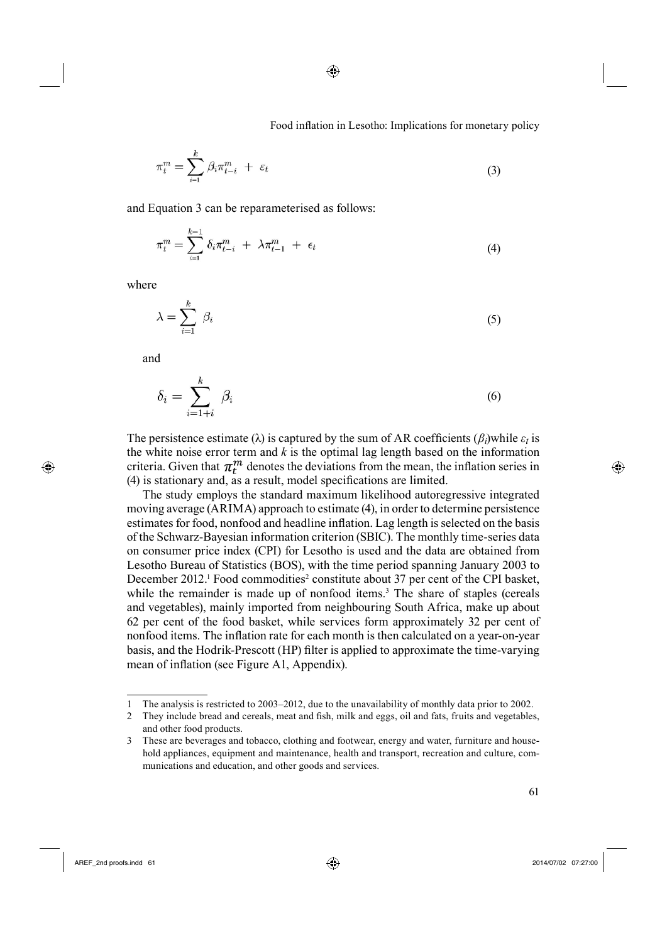$$
\pi_t^m = \sum_{i=1}^k \beta_i \pi_{t-i}^m + \varepsilon_t \tag{3}
$$

◈

and Equation 3 can be reparameterised as follows:

$$
\pi_t^m = \sum_{i=1}^{k-1} \delta_i \pi_{t-i}^m + \lambda \pi_{t-1}^m + \epsilon_t
$$
\n(4)

where

$$
\lambda = \sum_{i=1}^{k} \beta_i \tag{5}
$$

and

⊕

$$
\delta_i = \sum_{i=1+i}^k \beta_i \tag{6}
$$

The persistence estimate ( $\lambda$ ) is captured by the sum of AR coefficients ( $\beta$ *i*)while  $\varepsilon$ *t* is the white noise error term and *k* is the optimal lag length based on the information criteria. Given that  $\pi_t^m$  denotes the deviations from the mean, the inflation series in  $(4)$  is stationary and, as a result, model specifications are limited.

The study employs the standard maximum likelihood autoregressive integrated moving average (ARIMA) approach to estimate (4), in order to determine persistence estimates for food, nonfood and headline inflation. Lag length is selected on the basis of the Schwarz-Bayesian information criterion (SBIC). The monthly time-series data on consumer price index (CPI) for Lesotho is used and the data are obtained from Lesotho Bureau of Statistics (BOS), with the time period spanning January 2003 to December 2012.<sup>1</sup> Food commodities<sup>2</sup> constitute about 37 per cent of the CPI basket, while the remainder is made up of nonfood items.<sup>3</sup> The share of staples (cereals and vegetables), mainly imported from neighbouring South Africa, make up about 62 per cent of the food basket, while services form approximately 32 per cent of nonfood items. The inflation rate for each month is then calculated on a year-on-year basis, and the Hodrik-Prescott (HP) filter is applied to approximate the time-varying mean of inflation (see Figure A1, Appendix).

<sup>1</sup> The analysis is restricted to 2003–2012, due to the unavailability of monthly data prior to 2002.

<sup>2</sup> They include bread and cereals, meat and fish, milk and eggs, oil and fats, fruits and vegetables, and other food products.

<sup>3</sup> These are beverages and tobacco, clothing and footwear, energy and water, furniture and household appliances, equipment and maintenance, health and transport, recreation and culture, communications and education, and other goods and services.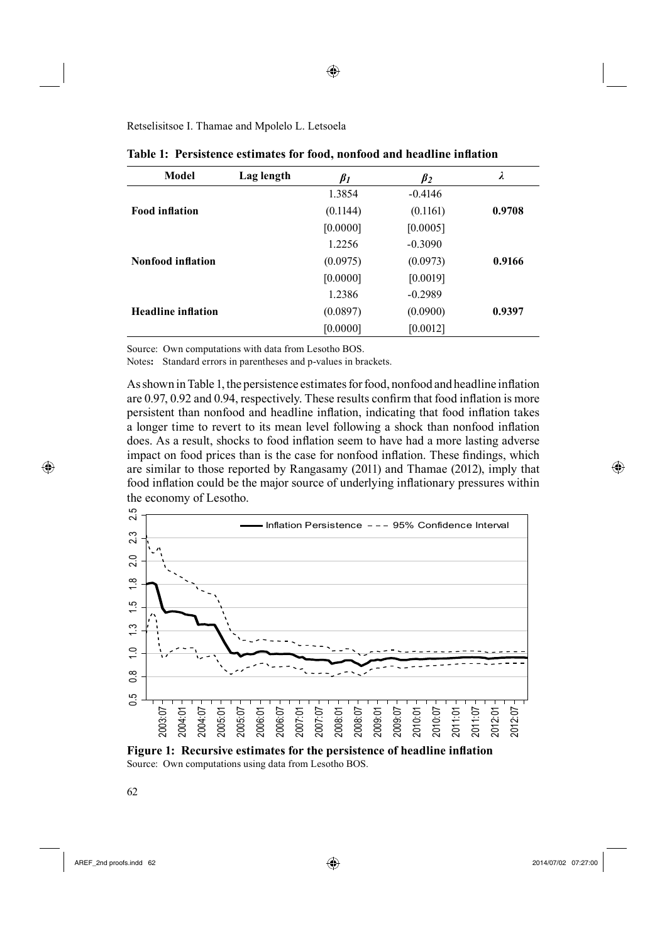**Model Lag length**  $\beta_1$   $\beta_2$   $\lambda$ **Food inflation** 1.3854 (0.1144) [0.0000] -0.4146 (0.1161) [0.0005] **0.9708 Nonfood inflation** 1.2256 (0.0975) [0.0000] -0.3090 (0.0973) [0.0019] **0.9166 Headline inflation** 1.2386 (0.0897) [0.0000] -0.2989 (0.0900) [0.0012] **0.9397**

| Table 1: Persistence estimates for food, nonfood and headline inflation |  |  |  |  |  |  |  |  |  |  |
|-------------------------------------------------------------------------|--|--|--|--|--|--|--|--|--|--|
|-------------------------------------------------------------------------|--|--|--|--|--|--|--|--|--|--|

◈

Source: Own computations with data from Lesotho BOS.

Notes**:** Standard errors in parentheses and p-values in brackets.

As shown in Table 1, the persistence estimates for food, nonfood and headline inflation are  $0.97, 0.92$  and  $0.94$ , respectively. These results confirm that food inflation is more persistent than nonfood and headline inflation, indicating that food inflation takes a longer time to revert to its mean level following a shock than nonfood inflation does. As a result, shocks to food inflation seem to have had a more lasting adverse impact on food prices than is the case for nonfood inflation. These findings, which are similar to those reported by Rangasamy (2011) and Thamae (2012), imply that food inflation could be the major source of underlying inflationary pressures within the economy of Lesotho.



**Figure 1: Recursive estimates for the persistence of headline inflation** Source: Own computations using data from Lesotho BOS.

⊕

AREF\_2nd proofs.indd 62 2014/07/02 07:27:00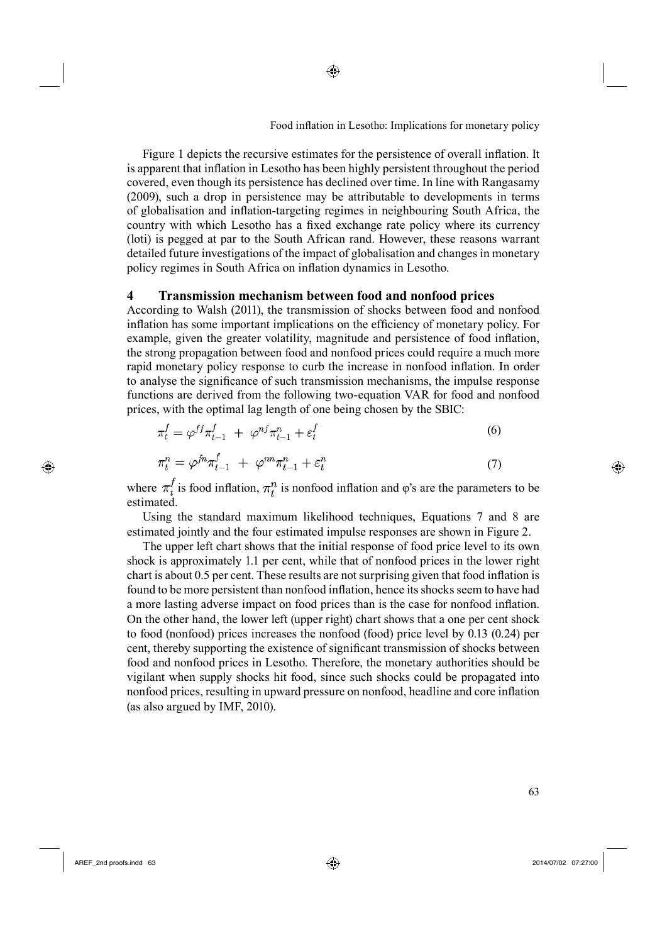Figure 1 depicts the recursive estimates for the persistence of overall inflation. It is apparent that inflation in Lesotho has been highly persistent throughout the period covered, even though its persistence has declined over time. In line with Rangasamy (2009), such a drop in persistence may be attributable to developments in terms of globalisation and inflation-targeting regimes in neighbouring South Africa, the country with which Lesotho has a fixed exchange rate policy where its currency (loti) is pegged at par to the South African rand. However, these reasons warrant detailed future investigations of the impact of globalisation and changes in monetary policy regimes in South Africa on inflation dynamics in Lesotho.

◈

#### **4 Transmission mechanism between food and nonfood prices**

According to Walsh (2011), the transmission of shocks between food and nonfood inflation has some important implications on the efficiency of monetary policy. For example, given the greater volatility, magnitude and persistence of food inflation, the strong propagation between food and nonfood prices could require a much more rapid monetary policy response to curb the increase in nonfood inflation. In order to analyse the significance of such transmission mechanisms, the impulse response functions are derived from the following two-equation VAR for food and nonfood prices, with the optimal lag length of one being chosen by the SBIC:

$$
\pi_t^f = \varphi^{ff} \pi_{t-1}^f + \varphi^{nf} \pi_{t-1}^n + \varepsilon_t^f \tag{6}
$$

$$
\pi_t^n = \varphi^{fn} \pi_{t-1}^f + \varphi^{nn} \pi_{t-1}^n + \varepsilon_t^n \tag{7}
$$

where  $\pi_t^f$  is food inflation,  $\pi_t^n$  is nonfood inflation and φ's are the parameters to be estimated.

Using the standard maximum likelihood techniques, Equations 7 and 8 are estimated jointly and the four estimated impulse responses are shown in Figure 2.

The upper left chart shows that the initial response of food price level to its own shock is approximately 1.1 per cent, while that of nonfood prices in the lower right chart is about 0.5 per cent. These results are not surprising given that food inflation is found to be more persistent than nonfood inflation, hence its shocks seem to have had a more lasting adverse impact on food prices than is the case for nonfood inflation. On the other hand, the lower left (upper right) chart shows that a one per cent shock to food (nonfood) prices increases the nonfood (food) price level by 0.13 (0.24) per cent, thereby supporting the existence of significant transmission of shocks between food and nonfood prices in Lesotho. Therefore, the monetary authorities should be vigilant when supply shocks hit food, since such shocks could be propagated into nonfood prices, resulting in upward pressure on nonfood, headline and core inflation (as also argued by IMF, 2010).

⊕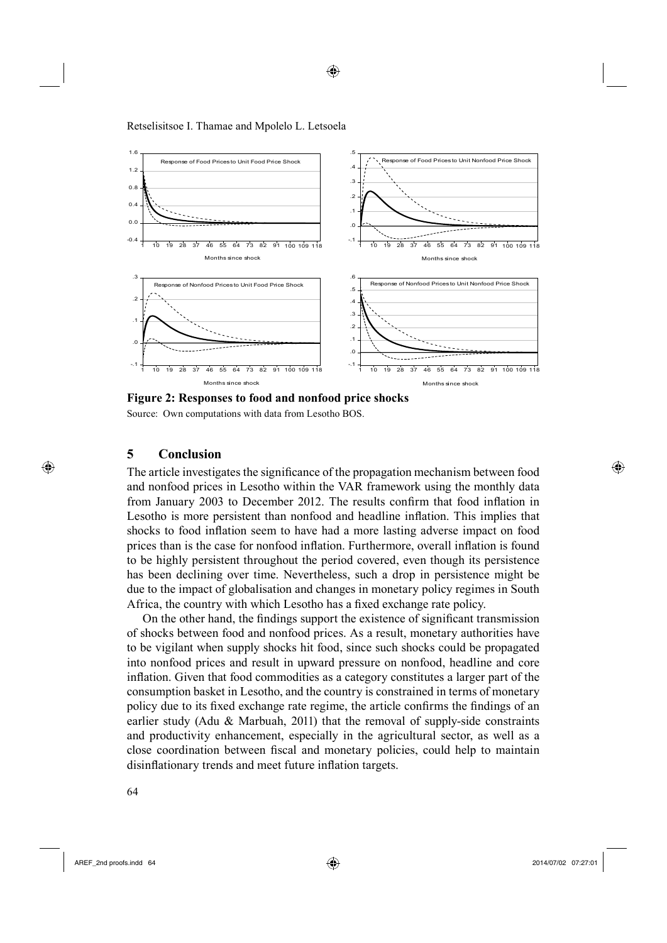

◈

Retselisitsoe I. Thamae and Mpolelo L. Letsoela

**Figure 2: Responses to food and nonfood price shocks** Source: Own computations with data from Lesotho BOS.

### **5 Conclusion**

⊕

The article investigates the significance of the propagation mechanism between food and nonfood prices in Lesotho within the VAR framework using the monthly data from January 2003 to December 2012. The results confirm that food inflation in Lesotho is more persistent than nonfood and headline inflation. This implies that shocks to food inflation seem to have had a more lasting adverse impact on food prices than is the case for nonfood inflation. Furthermore, overall inflation is found to be highly persistent throughout the period covered, even though its persistence has been declining over time. Nevertheless, such a drop in persistence might be due to the impact of globalisation and changes in monetary policy regimes in South Africa, the country with which Lesotho has a fixed exchange rate policy.

On the other hand, the findings support the existence of significant transmission of shocks between food and nonfood prices. As a result, monetary authorities have to be vigilant when supply shocks hit food, since such shocks could be propagated into nonfood prices and result in upward pressure on nonfood, headline and core inflation. Given that food commodities as a category constitutes a larger part of the consumption basket in Lesotho, and the country is constrained in terms of monetary policy due to its fixed exchange rate regime, the article confirms the findings of an earlier study (Adu  $\&$  Marbuah, 2011) that the removal of supply-side constraints and productivity enhancement, especially in the agricultural sector, as well as a close coordination between fiscal and monetary policies, could help to maintain disinflationary trends and meet future inflation targets.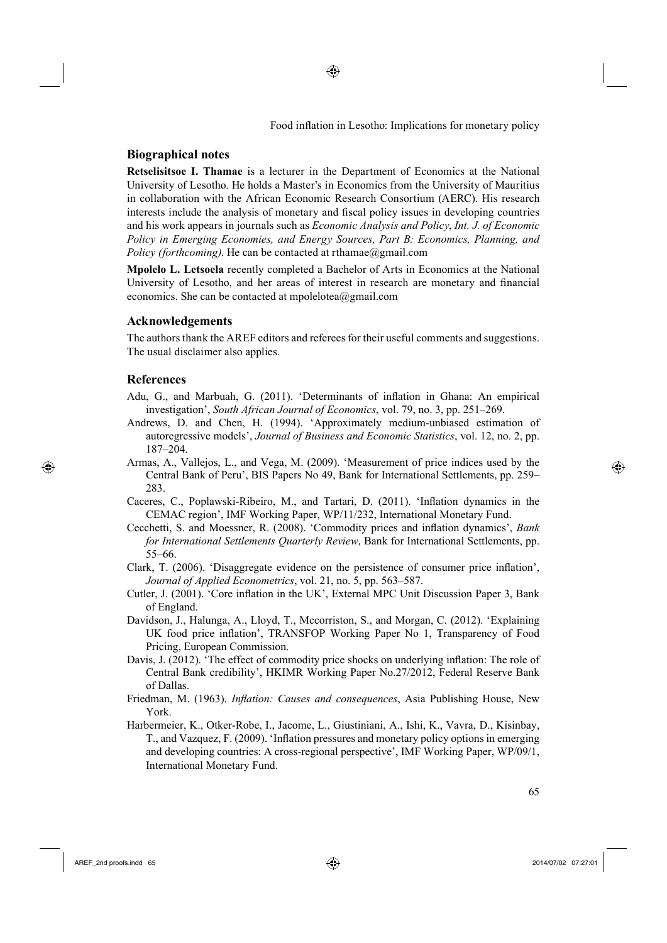### **Biographical notes**

**Retselisitsoe I. Thamae** is a lecturer in the Department of Economics at the National University of Lesotho. He holds a Master's in Economics from the University of Mauritius in collaboration with the African Economic Research Consortium (AERC). His research interests include the analysis of monetary and fiscal policy issues in developing countries and his work appears in journals such as *Economic Analysis and Policy*, *Int. J. of Economic Policy in Emerging Economies, and Energy Sources, Part B: Economics, Planning, and Policy (forthcoming)*. He can be contacted at rthamae@gmail.com

◈

**Mpolelo L. Letsoela** recently completed a Bachelor of Arts in Economics at the National University of Lesotho, and her areas of interest in research are monetary and financial economics. She can be contacted at mpolelotea@gmail.com

#### **Acknowledgements**

The authors thank the AREF editors and referees for their useful comments and suggestions. The usual disclaimer also applies.

#### **References**

⊕

- Adu, G., and Marbuah, G. (2011). 'Determinants of inflation in Ghana: An empirical investigation', *South African Journal of Economics*, vol. 79, no. 3, pp. 251–269.
- Andrews, D. and Chen, H. (1994). 'Approximately medium-unbiased estimation of autoregressive models', *Journal of Business and Economic Statistics*, vol. 12, no. 2, pp. 187–204.
- Armas, A., Vallejos, L., and Vega, M. (2009). 'Measurement of price indices used by the Central Bank of Peru', BIS Papers No 49, Bank for International Settlements, pp. 259– 283.
- Caceres, C., Poplawski-Ribeiro, M., and Tartari, D. (2011). 'Inflation dynamics in the CEMAC region', IMF Working Paper, WP/11/232, International Monetary Fund.
- Cecchetti, S. and Moessner, R. (2008). 'Commodity prices and inflation dynamics', *Bank for International Settlements Quarterly Review*, Bank for International Settlements, pp. 55–66.
- Clark, T. (2006). 'Disaggregate evidence on the persistence of consumer price inflation', *Journal of Applied Econometrics*, vol. 21, no. 5, pp. 563–587.
- Cutler, J. (2001). 'Core inflation in the UK', External MPC Unit Discussion Paper 3, Bank of England.
- Davidson, J., Halunga, A., Lloyd, T., Mccorriston, S., and Morgan, C. (2012). 'Explaining UK food price inflation', TRANSFOP Working Paper No 1, Transparency of Food Pricing, European Commission.
- Davis, J. (2012). 'The effect of commodity price shocks on underlying inflation: The role of Central Bank credibility', HKIMR Working Paper No.27/2012, Federal Reserve Bank of Dallas.
- Friedman, M. (1963). *Inflation: Causes and consequences*, Asia Publishing House, New York.
- Harbermeier, K., Otker-Robe, I., Jacome, L., Giustiniani, A., Ishi, K., Vavra, D., Kisinbay, T., and Vazquez, F. (2009). 'Inflation pressures and monetary policy options in emerging and developing countries: A cross-regional perspective', IMF Working Paper, WP/09/1, International Monetary Fund.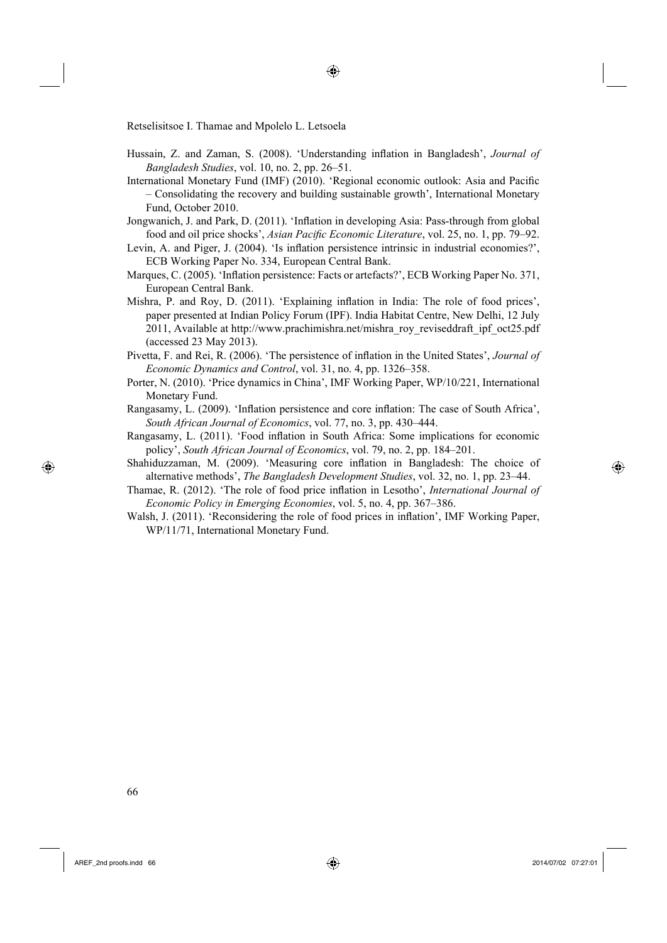- Hussain, Z. and Zaman, S. (2008). 'Understanding inflation in Bangladesh', *Journal of Bangladesh Studies*, vol. 10, no. 2, pp. 26–51.
- International Monetary Fund (IMF) (2010). 'Regional economic outlook: Asia and Pacific – Consolidating the recovery and building sustainable growth', International Monetary Fund, October 2010.
- Jongwanich, J. and Park, D. (2011). 'Inflation in developing Asia: Pass-through from global food and oil price shocks', *Asian Pacific Economic Literature*, vol. 25, no. 1, pp. 79–92.
- Levin, A. and Piger, J. (2004). 'Is inflation persistence intrinsic in industrial economies?', ECB Working Paper No. 334, European Central Bank.
- Marques, C. (2005). 'Inflation persistence: Facts or artefacts?', ECB Working Paper No. 371, European Central Bank.
- Mishra, P. and Roy, D. (2011). 'Explaining inflation in India: The role of food prices', paper presented at Indian Policy Forum (IPF). India Habitat Centre, New Delhi, 12 July 2011, Available at http://www.prachimishra.net/mishra\_roy\_reviseddraft\_ipf\_oct25.pdf (accessed 23 May 2013).
- Pivetta, F. and Rei, R. (2006). 'The persistence of inflation in the United States', *Journal of Economic Dynamics and Control*, vol. 31, no. 4, pp. 1326–358.
- Porter, N. (2010). 'Price dynamics in China', IMF Working Paper, WP/10/221, International Monetary Fund.
- Rangasamy, L. (2009). 'Inflation persistence and core inflation: The case of South Africa', *South African Journal of Economics*, vol. 77, no. 3, pp. 430–444.
- Rangasamy, L. (2011). 'Food inflation in South Africa: Some implications for economic policy', *South African Journal of Economics*, vol. 79, no. 2, pp. 184–201.
- Shahiduzzaman, M. (2009). 'Measuring core inflation in Bangladesh: The choice of alternative methods', *The Bangladesh Development Studies*, vol. 32, no. 1, pp. 23–44.

Thamae, R. (2012). 'The role of food price inflation in Lesotho', *International Journal of Economic Policy in Emerging Economies*, vol. 5, no. 4, pp. 367–386.

Walsh, J. (2011). 'Reconsidering the role of food prices in inflation', IMF Working Paper, WP/11/71, International Monetary Fund.

566

⊕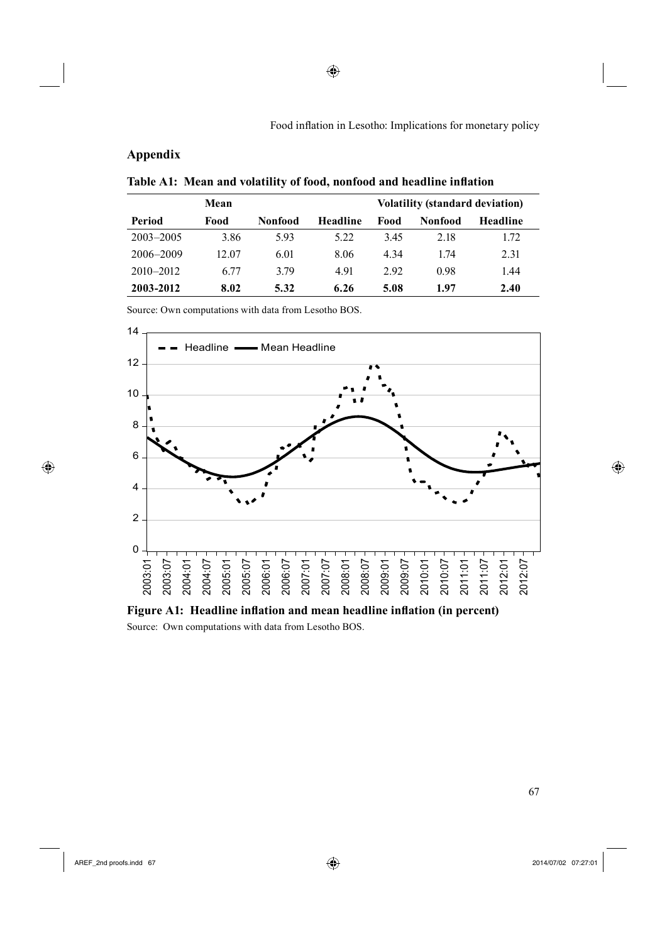# **Appendix**

Table A1: Mean and volatility of food, nonfood and headline inflation

|               | Mean  | <b>Volatility (standard deviation)</b> |                 |       |                |                 |
|---------------|-------|----------------------------------------|-----------------|-------|----------------|-----------------|
| Period        | Food  | <b>Nonfood</b>                         | <b>Headline</b> | Food  | <b>Nonfood</b> | <b>Headline</b> |
| $2003 - 2005$ | 3.86  | 5.93                                   | 5.22            | 3.45  | 2.18           | 1.72            |
| 2006-2009     | 12.07 | 6.01                                   | 8.06            | 4 3 4 | 174            | 2.31            |
| $2010 - 2012$ | 6.77  | 3.79                                   | 4.91            | 292   | 0.98           | 1.44            |
| 2003-2012     | 8.02  | 5.32                                   | 6.26            | 5.08  | 1.97           | 2.40            |

◈

Source: Own computations with data from Lesotho BOS.



Figure A1: Headline inflation and mean headline inflation (in percent) Source: Own computations with data from Lesotho BOS.

 $\bigoplus$ 

 $\bigoplus$